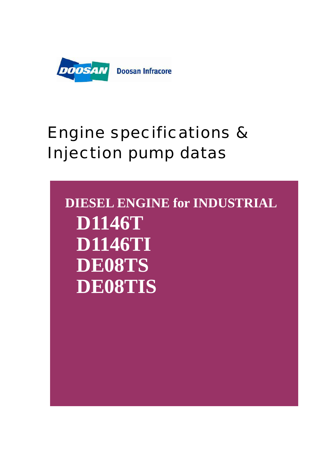

# Engine specifications & Injection pump datas

**DIESEL ENGINE for INDUSTRIAL D1146T D1146TI DE08TS DE08TIS**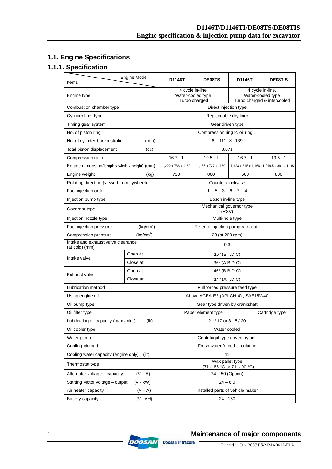## **1.1. Engine Specifications**

## **1.1.1. Specification**

| Items                                                | Engine Model    | D1146T                                                                                                                          | DE08TS                           | <b>D1146TI</b>      | <b>DE08TIS</b>        |  |
|------------------------------------------------------|-----------------|---------------------------------------------------------------------------------------------------------------------------------|----------------------------------|---------------------|-----------------------|--|
| Engine type                                          |                 | 4 cycle in-line,<br>4 cycle in-line,<br>Water-cooled type,<br>Water-cooled type<br>Turbo charged<br>Turbo charged & intercooled |                                  |                     |                       |  |
| Combustion chamber type                              |                 | Direct injection type                                                                                                           |                                  |                     |                       |  |
| Cylinder liner type                                  |                 | Replaceable dry liner                                                                                                           |                                  |                     |                       |  |
| Timing gear system                                   |                 |                                                                                                                                 | Gear driven type                 |                     |                       |  |
| No. of piston ring                                   |                 |                                                                                                                                 | Compression ring 2, oil ring 1   |                     |                       |  |
| No. of cylinder-bore x stroke                        | (mm)            |                                                                                                                                 | $6 - 111 \times 139$             |                     |                       |  |
| Total piston displacement                            | (cc)            |                                                                                                                                 | 8,071                            |                     |                       |  |
| Compression ratio                                    |                 | 16.7:1                                                                                                                          | 19.5:1                           | 16.7:1              | 19.5:1                |  |
| Engine dimension(length x width x height) (mm)       |                 | 1,222 x 786 x 1159                                                                                                              | 1,166 x 727 x 1159               | 1,123 x 815 x 1,166 | 1,269.5 x 891 x 1,182 |  |
| Engine weight                                        | (kg)            | 720                                                                                                                             | 800                              | 560                 | 800                   |  |
| Rotating direction (viewed from flywheel)            |                 |                                                                                                                                 | Counter clockwise                |                     |                       |  |
| Fuel injection order                                 |                 |                                                                                                                                 | $1 - 5 - 3 - 6 - 2 - 4$          |                     |                       |  |
| Injection pump type                                  |                 |                                                                                                                                 | Bosch in-line type               |                     |                       |  |
| Governor type                                        |                 | Mechanical governor type<br>(RSV)                                                                                               |                                  |                     |                       |  |
| Injection nozzle type                                | Multi-hole type |                                                                                                                                 |                                  |                     |                       |  |
| (kg/cm <sup>2</sup> )<br>Fuel injection pressure     |                 | Refer to injection pump rack data                                                                                               |                                  |                     |                       |  |
| (kg/cm <sup>2</sup> )<br>Compression pressure        |                 | 28 (at 200 rpm)                                                                                                                 |                                  |                     |                       |  |
| Intake and exhaust valve clearance<br>(at cold) (mm) |                 | 0.3                                                                                                                             |                                  |                     |                       |  |
| Intake valve                                         | Open at         | $16^\circ$ (B.T.D.C)                                                                                                            |                                  |                     |                       |  |
|                                                      | Close at        | $36^\circ$ (A.B.D.C)                                                                                                            |                                  |                     |                       |  |
| Exhaust valve                                        | Open at         |                                                                                                                                 | $46^\circ$ (B.B.D.C)             |                     |                       |  |
|                                                      | Close at        | $14^\circ$ (A.T.D.C)                                                                                                            |                                  |                     |                       |  |
| Lubrication method                                   |                 | Full forced pressure feed type                                                                                                  |                                  |                     |                       |  |
| Using engine oil                                     |                 | Above ACEA-E2 (API CH-4), SAE15W40                                                                                              |                                  |                     |                       |  |
| Oil pump type                                        |                 |                                                                                                                                 | Gear type driven by crankshaft   |                     |                       |  |
| Oil filter type                                      |                 |                                                                                                                                 | Paper element type               |                     | Cartridge type        |  |
| Lubricating oil capacity (max./min.)                 | (lit)           | 21 / 17 or 31.5 / 20                                                                                                            |                                  |                     |                       |  |
| Oil cooler type                                      |                 |                                                                                                                                 | Water cooled                     |                     |                       |  |
| Water pump                                           |                 |                                                                                                                                 | Centrifugal type driven by belt  |                     |                       |  |
| Cooling Method                                       |                 | Fresh water forced circulation                                                                                                  |                                  |                     |                       |  |
| Cooling water capacity (engine only)<br>(lit)        |                 | 11                                                                                                                              |                                  |                     |                       |  |
| Thermostat type                                      |                 | Wax pallet type<br>$(71 \sim 85 \text{ °C or } 71 \sim 90 \text{ °C})$                                                          |                                  |                     |                       |  |
| Alternator voltage - capacity                        | $(V - A)$       | $24 - 50$ (Option)                                                                                                              |                                  |                     |                       |  |
| Starting Motor voltage - output                      | $(V - kW)$      |                                                                                                                                 | $24 - 6.0$                       |                     |                       |  |
| Air heater capacity                                  | $(V - A)$       |                                                                                                                                 | Installed parts of vehicle maker |                     |                       |  |
| Battery capacity                                     | $(V - AH)$      |                                                                                                                                 | 24 - 150                         |                     |                       |  |



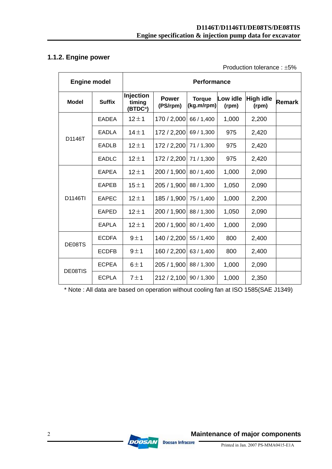## **1.1.2. Engine power**

Production tolerance : ±5%

| <b>Engine model</b> |               | <b>Performance</b>                          |                          |                             |                   |                           |               |
|---------------------|---------------|---------------------------------------------|--------------------------|-----------------------------|-------------------|---------------------------|---------------|
| <b>Model</b>        | <b>Suffix</b> | Injection<br>timing<br>(BTDC <sup>o</sup> ) | <b>Power</b><br>(PS/rpm) | <b>Torque</b><br>(kg.m/rpm) | Low idle<br>(rpm) | <b>High idle</b><br>(rpm) | <b>Remark</b> |
|                     | <b>EADEA</b>  | $12 \pm 1$                                  | 170 / 2,000              | 66 / 1,400                  | 1,000             | 2,200                     |               |
| D1146T              | <b>EADLA</b>  | $14 \pm 1$                                  | 172 / 2,200              | 69 / 1,300                  | 975               | 2,420                     |               |
|                     | <b>EADLB</b>  | $12 \pm 1$                                  | 172 / 2,200              | 71/1.300                    | 975               | 2,420                     |               |
|                     | <b>EADLC</b>  | $12 \pm 1$                                  | 172 / 2,200 71 / 1,300   |                             | 975               | 2,420                     |               |
|                     | <b>EAPEA</b>  | $12 \pm 1$                                  | 200 / 1,900              | 80 / 1,400                  | 1,000             | 2,090                     |               |
|                     | <b>EAPEB</b>  | $15 \pm 1$                                  | 205 / 1,900 88 / 1,300   |                             | 1,050             | 2,090                     |               |
| D1146TI             | <b>EAPEC</b>  | $12 \pm 1$                                  | 185 / 1,900 75 / 1,400   |                             | 1,000             | 2,200                     |               |
|                     | <b>EAPED</b>  | $12 \pm 1$                                  | 200 / 1,900              | 88 / 1,300                  | 1,050             | 2,090                     |               |
|                     | <b>EAPLA</b>  | $12 \pm 1$                                  | 200 / 1,900              | 80 / 1,400                  | 1,000             | 2,090                     |               |
|                     | <b>ECDFA</b>  | 9±1                                         | 140 / 2,200              | 55 / 1,400                  | 800               | 2,400                     |               |
| DE08TS              | <b>ECDFB</b>  | 9±1                                         | 160 / 2,200              | 63 / 1,400                  | 800               | 2,400                     |               |
| DE08TIS             | <b>ECPEA</b>  | 6±1                                         | 205 / 1,900              | 88 / 1,300                  | 1,000             | 2,090                     |               |
|                     | <b>ECPLA</b>  | 7±1                                         | 212 / 2,100 90 / 1,300   |                             | 1,000             | 2,350                     |               |

\* Note : All data are based on operation without cooling fan at ISO 1585(SAE J1349)

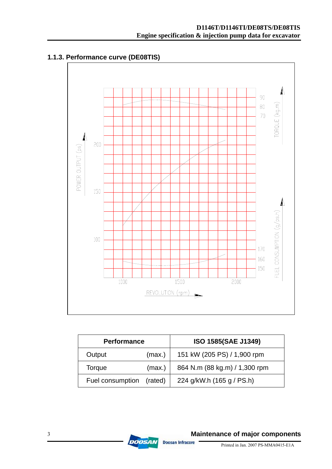

## **1.1.3. Performance curve (DE08TIS)**

| <b>Performance</b> |         | ISO 1585(SAE J1349)           |
|--------------------|---------|-------------------------------|
| Output             | (max.)  | 151 kW (205 PS) / 1,900 rpm   |
| Torque             | (max.)  | 864 N.m (88 kg.m) / 1,300 rpm |
| Fuel consumption   | (rated) | 224 g/kW.h (165 g / PS.h)     |

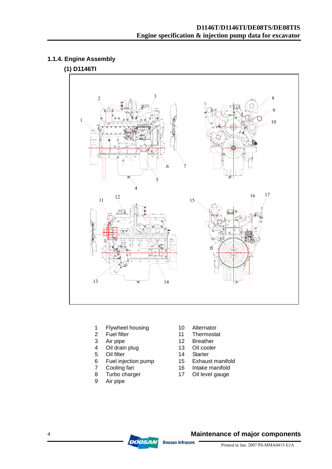## **1.1.4. Engine Assembly**

## **(1) D1146TI**



- 1 Flywheel housing 10 Alternator<br>2 Fuel filter 11 Thermosta
- 
- 
- 4 Oil drain plug 13 Oil cooler
- 5 Oil filter 14 Starter
- 6 Fuel injection pump 15 Exhaust manifold
- 7 Cooling fan 16 Intake manifold
- 8 Turbo charger 17 Oil level gauge
- 9 Air pipe
- 
- 2 Fuel filter  $\frac{3}{12}$  Fuel filter  $\frac{11}{12}$  Thermostat
	- Air pipe 12 Breather<br>
	Oil drain plug 13 Oil cooler
		-
		-
		-
		-
		-

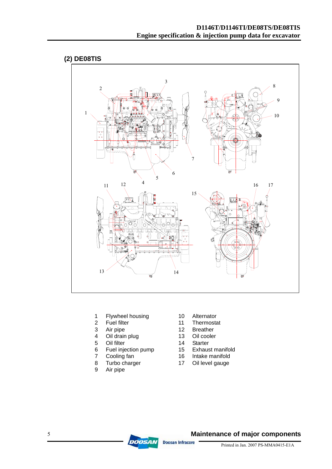

- 1 Flywheel housing 10 Alternator<br>2 Fuel filter 11 Thermosta
- 
- 
- 4 Oil drain plug 13 Oil cooler
- 5 Oil filter 14 Starter
- 6 Fuel injection pump 15 Exhaust manifold<br>7 Cooling fan 16 Intake manifold
- 
- 
- 9 Air pipe
- 
- 
- 2 Fuel filter 11 Thermostat<br>3 Air pipe 12 Breather 3 Air pipe 12 Breather
	-
	-
	-
	-
- 7 Cooling fan 16 Intake manifold<br>8 Turbo charger 17 Oil level gauge 8 Turbo charger 17 Oil level gauge

**Maintenance of major components** 



**DOOSAN Doosan Infracore**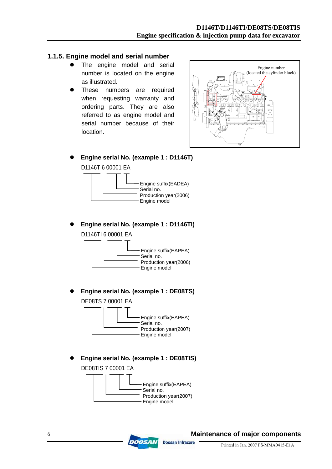#### **1.1.5. Engine model and serial number**

- The engine model and serial number is located on the engine as illustrated.
- These numbers are required when requesting warranty and ordering parts. They are also referred to as engine model and serial number because of their location.



Engine serial No. (example 1 : D1146T) D1146T 6 00001 EA



z **Engine serial No. (example 1 : D1146TI)**  D1146TI 6 00001 EA



Engine serial No. (example 1 : DE08TS) DE08TS 7 00001 EA



Engine serial No. (example 1 : DE08TIS) DE08TIS 7 00001 EA



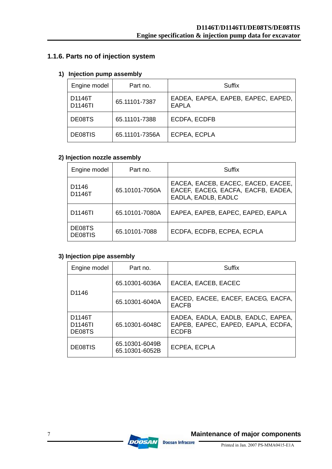## **1.1.6. Parts no of injection system**

#### **1) Injection pump assembly**

| Engine model      | Part no.       | Suffix                                             |
|-------------------|----------------|----------------------------------------------------|
| D1146T<br>D1146TI | 65.11101-7387  | EADEA, EAPEA, EAPEB, EAPEC, EAPED,<br><b>EAPLA</b> |
| DE08TS            | 65.11101-7388  | <b>ECDFA, ECDFB</b>                                |
| DE08TIS           | 65.11101-7356A | ECPEA, ECPLA                                       |

## **2) Injection nozzle assembly**

| Engine model      | Part no.       | Suffix                                                                                          |
|-------------------|----------------|-------------------------------------------------------------------------------------------------|
| D1146<br>D1146T   | 65.10101-7050A | EACEA, EACEB, EACEC, EACED, EACEE,<br>EACEF, EACEG, EACFA, EACFB, EADEA,<br>EADLA, EADLB, EADLC |
| D1146TI           | 65.10101-7080A | EAPEA, EAPEB, EAPEC, EAPED, EAPLA                                                               |
| DE08TS<br>DE08TIS | 65.10101-7088  | ECDFA, ECDFB, ECPEA, ECPLA                                                                      |

## **3) Injection pipe assembly**

| Engine model                             | Part no.                         | Suffix                                                                                   |
|------------------------------------------|----------------------------------|------------------------------------------------------------------------------------------|
|                                          | 65.10301-6036A                   | EACEA, EACEB, EACEC                                                                      |
| D <sub>1146</sub>                        | 65.10301-6040A                   | EACED, EACEE, EACEF, EACEG, EACFA,<br><b>EACFB</b>                                       |
| D1146T<br>D <sub>1146</sub> TI<br>DE08TS | 65.10301-6048C                   | EADEA, EADLA, EADLB, EADLC, EAPEA,<br>EAPEB, EAPEC, EAPED, EAPLA, ECDFA,<br><b>ECDFB</b> |
| DE08TIS                                  | 65.10301-6049B<br>65.10301-6052B | ECPEA, ECPLA                                                                             |

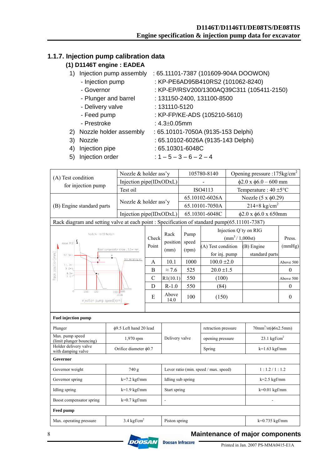## **1.1.7. Injection pump calibration data**

## **(1) D1146T engine : EADEA**

- 1) Injection pump assembly : 65.11101-7387 (101609-904A DOOWON)
	- Injection pump : KP-PE6AD95B410RS2 (101062-8240)
	- Governor : KP-EP/RSV200/1300AQ39C311 (105411-2150)
	- Plunger and barrel : 131150-2400, 131100-8500
	- Delivery valve : 131110-5120
	- Feed pump : KP-FP/KE-ADS (105210-5610)
	- Prestroke : 4.3±0.05mm
- 2) Nozzle holder assembly : 65.10101-7050A (9135-153 Delphi)
- 3) Nozzle : 65.10102-6026A (9135-143 Delphi)
- 4) Injection pipe : 65.10301-6048C
- 5) Injection order :  $1 5 3 6 2 4$
- 

|                                                                                              | Nozzle & holder ass'y                |               |                                       |                | 105780-8140         |                                   | Opening pressure : 175kg/cm <sup>2</sup> |                  |
|----------------------------------------------------------------------------------------------|--------------------------------------|---------------|---------------------------------------|----------------|---------------------|-----------------------------------|------------------------------------------|------------------|
| (A) Test condition                                                                           | Injection pipe(IDxODxL)              |               |                                       |                |                     |                                   | $\phi$ 2.0 x $\phi$ 6.0 - 600 mm         |                  |
| for injection pump                                                                           | Test oil                             |               |                                       |                | ISO4113             |                                   | Temperature : $40 \pm 5^{\circ}$ C       |                  |
|                                                                                              |                                      |               |                                       | 65.10102-6026A |                     | Nozzle $(5 x \phi 0.29)$          |                                          |                  |
| (B) Engine standard parts                                                                    | Nozzle & holder ass'y                |               |                                       |                | 65.10101-7050A      |                                   | $214 + 8$ kg/cm <sup>2</sup>             |                  |
|                                                                                              | Injection pipe(IDxODxL)              |               |                                       |                | 65.10301-6048C      |                                   | $\phi$ 2.0 x $\phi$ 6.0 x 650mm          |                  |
| Rack diagram and setting valve at each point : Specification of standard pump(65.11101-7387) |                                      |               |                                       |                |                     |                                   |                                          |                  |
| Notch: $\approx$ 10 Notch                                                                    |                                      |               | Rack                                  | Pump           |                     |                                   | Injection Q'ty on RIG                    |                  |
| above 14.0                                                                                   |                                      | Check         | position                              | speed          |                     | $\text{(mm}^3 / 1,000 \text{st})$ |                                          | Press.           |
|                                                                                              | Boost compensator stroke : 1,0+++ mm | Point         | (mm)                                  | (rpm)          | (A) Test condition  |                                   | (B) Engine                               | (mmHg)           |
| 12.9 o.                                                                                      | Idle sub spring set                  |               |                                       |                | for inj. pump       |                                   | standard parts                           |                  |
| Rack position(mm)<br>D<br>11.7 <sup>o</sup>                                                  |                                      | $\mathbf{A}$  | 10.1                                  | 1000           | $100.0 \pm 2.0$     |                                   |                                          | Above 500        |
| 9.200<br>8.3m<br>$\overline{\mathbf{B}}$                                                     |                                      | $\bf{B}$      | $\approx$ 7.6                         | 525            | $20.0 \pm 1.5$      |                                   |                                          | $\theta$         |
| 7.5                                                                                          |                                      | $\mathcal{C}$ | R1(10.1)                              | 550            | (100)               |                                   |                                          | Above 500        |
| o<br>350<br>525                                                                              | 1000 1055                            | D             | $R-1.0$                               | 550            | (84)                |                                   |                                          | $\boldsymbol{0}$ |
| Injection pump speed(rpm)                                                                    | 1030                                 | E             | Above<br>14.0                         | 100            | (150)               |                                   |                                          | $\boldsymbol{0}$ |
|                                                                                              |                                      |               |                                       |                |                     |                                   |                                          |                  |
| <b>Fuel injection pump</b>                                                                   |                                      |               |                                       |                |                     |                                   |                                          |                  |
| Plunger                                                                                      | φ9.5 Left hand 20 lead               |               |                                       |                | retraction pressure |                                   | $70mm^3\text{/st}(\phi 6x2.5mm)$         |                  |
| Max. pump speed<br>(limit plunger bouncing)                                                  | 1,970 rpm                            |               | Delivery valve                        |                | opening pressure    |                                   | $23.1 \text{ kgf/cm}^2$                  |                  |
| Holder delivery valve<br>with damping valve                                                  | Orifice diameter $\phi$ 0.7          |               |                                       | Spring         |                     |                                   | $k=1.63$ kgf/mm                          |                  |
| Governor                                                                                     |                                      |               |                                       |                |                     |                                   |                                          |                  |
| Governor weight                                                                              | 740 g                                |               | Lever ratio (min. speed / max. speed) |                |                     | 1:1.2/1:1.2                       |                                          |                  |
| Governor spring<br>$k=7.2$ kgf/mm                                                            |                                      |               | Idling sub spring                     |                |                     |                                   | $k=2.5$ kgf/mm                           |                  |
| <b>Idling</b> spring<br>$k=1.9$ kgf/mm                                                       |                                      |               | Start spring                          |                |                     |                                   | $k=0.01$ kgf/mm                          |                  |
| $k=0.7$ kgf/mm<br>Boost compensator spring                                                   |                                      |               | $\overline{a}$                        |                |                     |                                   |                                          |                  |
| <b>Feed pump</b>                                                                             |                                      |               |                                       |                |                     |                                   |                                          |                  |
| Max. operating pressure                                                                      | $3.4 \text{ kgf/cm}^2$               |               | Piston spring                         |                |                     |                                   | $k=0.735$ kgf/mm                         |                  |

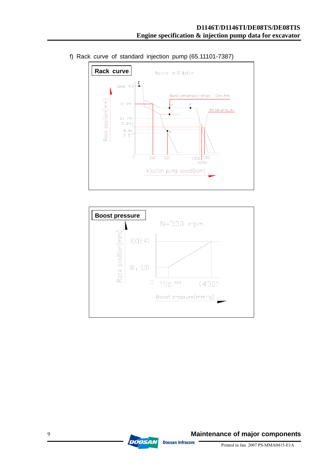

f) Rack curve of standard injection pump (65.11101-7387)



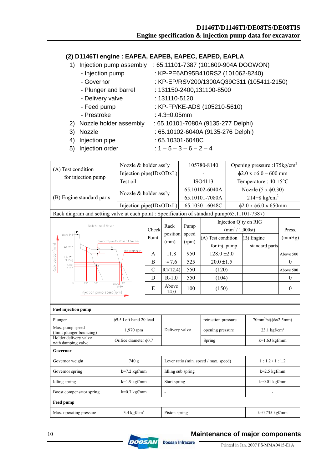#### **(2) D1146TI engine : EAPEA, EAPEB, EAPEC, EAPED, EAPLA**

- 1) Injection pump assembly : 65.11101-7387 (101609-904A DOOWON)
	- Injection pump : KP-PE6AD95B410RS2 (101062-8240)
	- Governor : KP-EP/RSV200/1300AQ39C311 (105411-2150)
	- Plunger and barrel : 131150-2400,131100-8500
	- Delivery valve : 131110-5120
	- Feed pump : KP-FP/KE-ADS (105210-5610)
	- Prestroke : 4.3±0.05mm
- 2) Nozzle holder assembly : 65.10101-7080A (9135-277 Delphi)
- 
- 3) Nozzle : 65.10102-6040A (9135-276 Delphi)
- 4) Injection pipe : 65.10301-6048C
- 5) Injection order :  $1 5 3 6 2 4$
- Nozzle & holder ass'y  $105780-8140$  Opening pressure :175kg/cm<sup>2</sup> (A) Test condition<br>
for injection pump<br>  $\frac{1022 \text{ R}}{20 \text{ N}} = \frac{103760-6140}{92.0 \text{ N}} = \frac{62.0 \text{ N}}{20 \text{ N}} = 0.00 \text{ mm}$ Test oil ISO4113 Temperature :  $40 \pm 5^{\circ}$ C (B) Engine standard parts Nozzle & holder ass'y  $\begin{array}{|l|l|l|l|l|} \hline 65.10102-6040A & Nozzle (5 x \phi 0.30) \hline \end{array}$ Injection pipe(IDxODxL) 65.10301-6048C  $\phi$ 2.0 x φ6.0 x 650mm Rack diagram and setting valve at each point : Specification of standard pump(65.11101-7387) Injection Q`ty on RIG  $Notch : \approx 10$  Notch Rack Pump Check  $\begin{bmatrix} 1 & \text{unip} \\ \text{unp} & \text{unp} \end{bmatrix}$  (mm<sup>3</sup>/1,000st) Press. above  $14.0$ position speed Point  $(\text{rpm})$  (A) Test condition (B) Engine (mmHg) Boost compensator stroke : 1.0 = mm (mm) for inj. pump standard parts Rack position(mm)  $12.9$ ing set A | 11.8 | 950 | 128.0  $\pm 2.0$  | Above 500 : 11. 7 ه<br>چەم 2 B  $\approx 7.6$  525 20.0 ±1.5 0  $\frac{8.3m}{7.5}$ C  $|R1(12.4)|$  550 (120)  $\vert$  Above 500 D | R-1.0 | 550 | (104) | 0  $\frac{1}{525}$ 1000 105  $E = \begin{bmatrix} \text{Above} \\ 14.0 \end{bmatrix}$  $14.0$  100 (150) 0 Injection pump speed(rpm) **Fuel injection pump**  Plunger  $\phi$ 9.5 Left hand 20 lead retraction pressure  $70$ mm<sup>3</sup>/st( $\phi$ 6x2.5mm) Max. pump speed Max. pump speed<br>(limit plunger bouncing) 1,970 rpm Delivery valve opening pressure 23.1 kgf/cm<sup>2</sup> Delivery valve Holder delivery valve Trouter derivery valve  $\frac{1}{2}$  Orifice diameter  $\phi$ 0.7 Spring  $k=1.63$  kgf/mm **Governor** Governor weight  $\begin{array}{ccc} 740 \text{ g} \\ 740 \text{ g} \end{array}$  Lever ratio (min. speed / max. speed)  $\begin{array}{ccc} 1:1.2/1:1.2 \end{array}$ Governor spring  $k=7.2$  kgf/mm Idling sub spring  $k=2.5$  kgf/mm Idling spring  $k=1.9$  kgf/mm Start spring  $k=0.01$  kgf/mm Boost compensator spring  $k=0.7$  kgf/mm  $\vert$  -**Feed pump**  Max. operating pressure  $3.4 \text{ kgf/cm}^2$ Piston spring  $k=0.735$  kgf/mm



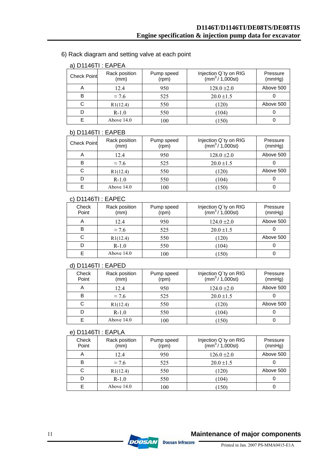6) Rack diagram and setting valve at each point

| $d)$ DI14011. EAFEA |                       |                     |                                                                    |                    |  |  |  |
|---------------------|-----------------------|---------------------|--------------------------------------------------------------------|--------------------|--|--|--|
| <b>Check Point</b>  | Rack position<br>(mm) | Pump speed<br>(rpm) | Injection Q'ty on RIG<br>$\frac{1}{2}$ (mm <sup>3</sup> / 1,000st) | Pressure<br>(mmHg) |  |  |  |
| A                   | 12.4                  | 950                 | $128.0 \pm 2.0$                                                    | Above 500          |  |  |  |
| в                   | $\approx$ 7.6         | 525                 | $20.0 \pm 1.5$                                                     |                    |  |  |  |
| C                   | R1(12.4)              | 550                 | (120)                                                              | Above 500          |  |  |  |
|                     | $R-1.0$               | 550                 | (104)                                                              |                    |  |  |  |
|                     | Above $14.0$          | 100                 | (150)                                                              |                    |  |  |  |

## a)  $D1146TI \cdot F\Delta PFA$

#### b) D1146TI : EAPEB

| <b>Check Point</b> | Rack position<br>(mm) | Pump speed<br>(rpm) | Injection Q'ty on RIG<br>(mm <sup>3</sup> /1,000st) | Pressure<br>(mmHg) |
|--------------------|-----------------------|---------------------|-----------------------------------------------------|--------------------|
|                    | 12.4                  | 950                 | $128.0 \pm 2.0$                                     | Above 500          |
| в                  | $\approx$ 7.6         | 525                 | $20.0 \pm 1.5$                                      |                    |
| C                  | R1(12.4)              | 550                 | (120)                                               | Above 500          |
|                    | $R-1.0$               | 550                 | (104)                                               |                    |
|                    | Above $14.0$          | 100                 | (150)                                               |                    |

#### c) D1146TI : EAPEC

| Check<br>Point | Rack position<br>(mm) | Pump speed<br>(rpm) | Injection Q'ty on RIG<br>$\frac{1}{2}$ / 1,000st) | Pressure<br>(mmHg) |
|----------------|-----------------------|---------------------|---------------------------------------------------|--------------------|
| A              | 12.4                  | 950                 | $124.0 \pm 2.0$                                   | Above 500          |
| в              | $\approx$ 7.6         | 525                 | $20.0 \pm 1.5$                                    |                    |
|                | R1(12.4)              | 550                 | (120)                                             | Above 500          |
|                | $R-1.0$               | 550                 | (104)                                             |                    |
|                | Above $14.0$          | 100                 | (150)                                             |                    |

#### d) D1146TI : EAPED

| Check<br>Point | Rack position<br>(mm) | Pump speed<br>(rpm) | Injection Q'ty on RIG<br>$\frac{1}{2}$ / 1,000st) | Pressure<br>(mmHg) |
|----------------|-----------------------|---------------------|---------------------------------------------------|--------------------|
| A              | 12.4                  | 950                 | $124.0 \pm 2.0$                                   | Above 500          |
| в              | $\approx$ 7.6         | 525                 | $20.0 \pm 1.5$                                    |                    |
| С              | R1(12.4)              | 550                 | (120)                                             | Above 500          |
|                | $R-1.0$               | 550                 | (104)                                             |                    |
|                | Above $14.0$          | 100                 | (150)                                             |                    |

#### e) D1146TI : EAPLA

| Check<br>Point | Rack position<br>(mm) | Pump speed<br>(rpm) | Injection Q'ty on RIG<br>(mm <sup>3</sup> /1,000st) | Pressure<br>(mmHg) |
|----------------|-----------------------|---------------------|-----------------------------------------------------|--------------------|
|                | 12.4                  | 950                 | $126.0 \pm 2.0$                                     | Above 500          |
| в              | $\approx$ 7.6         | 525                 | $20.0 \pm 1.5$                                      |                    |
| C              | R1(12.4)              | 550                 | (120)                                               | Above 500          |
|                | $R-1.0$               | 550                 | (104)                                               |                    |
|                | Above $14.0$          | 100                 | (150)                                               |                    |

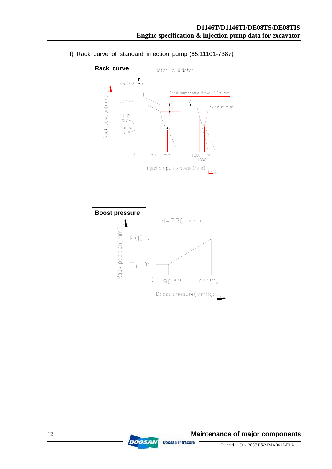

f) Rack curve of standard injection pump (65.11101-7387)



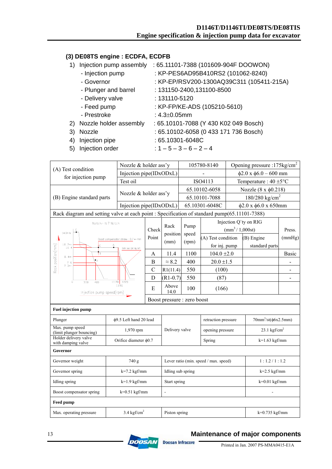#### **D1146T/D1146TI/DE08TS/DE08TIS Engine specification & injection pump data for excavator**

#### **(3) DE08TS engine : ECDFA, ECDFB**

- 1) Injection pump assembly : 65.11101-7388 (101609-904F DOOWON)
	- Injection pump : KP-PES6AD95B410RS2 (101062-8240)
	- Governor : KP-EP/RSV200-1300AQ39C311 (105411-215A)
	- Plunger and barrel : 131150-2400,131100-8500
	- Delivery valve : 131110-5120
	- Feed pump : KP-FP/KE-ADS (105210-5610)
	- Prestroke : 4.3±0.05mm
- 2) Nozzle holder assembly : 65.10101-7088 (Y 430 K02 049 Bosch)
- 
- 3) Nozzle : 65.10102-6058 (0 433 171 736 Bosch)
- 4) Injection pipe : 65.10301-6048C
- 5) Injection order :  $1 5 3 6 2 4$ 
	-

|                                                                                              | Nozzle & holder ass'y                                             |                         |                                       | 105780-8140                 |                                   |                                    | Opening pressure :175kg/cm <sup>2</sup> |                |
|----------------------------------------------------------------------------------------------|-------------------------------------------------------------------|-------------------------|---------------------------------------|-----------------------------|-----------------------------------|------------------------------------|-----------------------------------------|----------------|
| (A) Test condition                                                                           | Injection pipe(IDxODxL)                                           |                         |                                       |                             |                                   | $\phi$ 2.0 x $\phi$ 6.0 - 600 mm   |                                         |                |
| for injection pump                                                                           | Test oil                                                          |                         |                                       | ISO4113                     |                                   | Temperature : $40 \pm 5^{\circ}$ C |                                         |                |
|                                                                                              | Nozzle & holder ass'y                                             |                         |                                       | 65.10102-6058               |                                   | Nozzle (8 x φ0.218)                |                                         |                |
| (B) Engine standard parts                                                                    |                                                                   |                         |                                       | 65.10101-7088               |                                   | $180/280$ kg/cm <sup>2</sup>       |                                         |                |
|                                                                                              |                                                                   | Injection pipe(IDxODxL) |                                       | 65.10301-6048C              |                                   | $\phi$ 2.0 x $\phi$ 6.0 x 650mm    |                                         |                |
| Rack diagram and setting valve at each point : Specification of standard pump(65.11101-7388) |                                                                   |                         |                                       |                             |                                   |                                    |                                         |                |
| $\mathsf{Notch} : \approx 7 \mathsf{\;Notch}$                                                |                                                                   |                         | Rack                                  | Pump                        | Injection Q'ty on RIG             |                                    |                                         |                |
| 14.0여상                                                                                       |                                                                   | Check                   | position                              | speed                       | $\text{(mm}^3 / 1,000 \text{st})$ |                                    |                                         | Press.         |
|                                                                                              | Boost compensator stroke : 0.7 = imm                              | Point                   | (mm)                                  |                             | (A) Test condition                |                                    | (B) Engine                              | (mmHg)         |
| 12.7 <sub>10</sub><br>11.4                                                                   | Idle sub spring set                                               |                         |                                       | (rpm)                       | for inj. pump                     |                                    | standard parts                          |                |
| Rack position(mm)<br>ŦD<br>8.4 <sub>10</sub>                                                 |                                                                   | A                       | 11.4                                  | 1100                        | $104.0 \pm 2.0$                   |                                    |                                         | Basic          |
| ÷B<br>7.6<br>7.30                                                                            |                                                                   | B                       | $\approx 8.2$                         | 400                         | $20.0 \pm 1.5$                    |                                    |                                         |                |
|                                                                                              |                                                                   | $\mathcal{C}$           | R1(11.4)                              | 550                         | (100)                             |                                    |                                         |                |
| 0<br>300<br>400<br>$(1170)$ 1220                                                             |                                                                   | D                       | $(R1-0.7)$                            | 550                         | (87)                              |                                    |                                         | $\overline{a}$ |
| 1190<br>Injection pump speed(rpm)                                                            |                                                                   | E                       | Above<br>14.0                         | 100                         | (166)                             |                                    |                                         |                |
|                                                                                              |                                                                   |                         |                                       | Boost pressure : zero boost |                                   |                                    |                                         |                |
| <b>Fuel injection pump</b>                                                                   |                                                                   |                         |                                       |                             |                                   |                                    |                                         |                |
| Plunger                                                                                      | φ9.5 Left hand 20 lead                                            |                         |                                       |                             | retraction pressure               |                                    | $70mm^3\text{/st}(\phi 6x2.5mm)$        |                |
| Max. pump speed<br>(limit plunger bouncing)                                                  | 1,970 rpm<br>Holder delivery valve<br>Orifice diameter $\phi$ 0.7 |                         | Delivery valve                        |                             | opening pressure                  |                                    | $23.1$ kgf/cm <sup>2</sup>              |                |
| with damping valve                                                                           |                                                                   |                         |                                       |                             | Spring                            |                                    | $k=1.63$ kgf/mm                         |                |
| Governor                                                                                     |                                                                   |                         |                                       |                             |                                   |                                    |                                         |                |
| Governor weight<br>740 g                                                                     |                                                                   |                         | Lever ratio (min. speed / max. speed) |                             | 1:1.2/1:1.2                       |                                    |                                         |                |
| Governor spring<br>$k=7.2$ kgf/mm                                                            |                                                                   |                         | Idling sub spring                     |                             | $k=2.5$ kgf/mm                    |                                    |                                         |                |
| Idling spring<br>$k=1.9$ kgf/mm                                                              |                                                                   |                         | Start spring                          |                             | $k=0.01$ kgf/mm                   |                                    |                                         |                |
| Boost compensator spring<br>$k=0.51$ kgf/mm                                                  |                                                                   |                         | $\overline{a}$                        |                             |                                   |                                    |                                         |                |
| <b>Feed pump</b>                                                                             |                                                                   |                         |                                       |                             |                                   |                                    |                                         |                |
| $3.4 \text{ kgf/cm}^2$<br>Max. operating pressure                                            |                                                                   |                         | Piston spring                         |                             |                                   |                                    | $k=0.735$ kgf/mm                        |                |

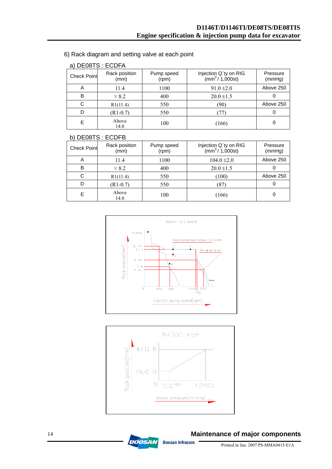6) Rack diagram and setting valve at each point

| a) DEVOIS. EUDFA   |                       |                     |                                                   |                    |  |  |  |
|--------------------|-----------------------|---------------------|---------------------------------------------------|--------------------|--|--|--|
| <b>Check Point</b> | Rack position<br>(mm) | Pump speed<br>(rpm) | Injection Q'ty on RIG<br>$\frac{1}{2}$ / 1,000st) | Pressure<br>(mmHg) |  |  |  |
| A                  | 11.4                  | 1100                | $91.0 \pm 2.0$                                    | Above 250          |  |  |  |
| В                  | $\approx 8.2$         | 400                 | $20.0 \pm 1.5$                                    |                    |  |  |  |
|                    | R1(11.4)              | 550                 | (90)                                              | Above 250          |  |  |  |
|                    | $(R1-0.7)$            | 550                 | 77)                                               |                    |  |  |  |
| E                  | Above<br>14.0         | 100                 | (166)                                             |                    |  |  |  |

## a) DE08TS : ECDFA

#### b) DE08TS : ECDFB

| <b>Check Point</b> | Rack position<br>(mm) | Pump speed<br>(rpm) | Injection Q'ty on RIG<br>$(mm^3/1,000st)$ | Pressure<br>(mmHg) |
|--------------------|-----------------------|---------------------|-------------------------------------------|--------------------|
| Α                  | 11.4                  | 1100                | $104.0 \pm 2.0$                           | Above 250          |
| B                  | $\approx 8.2$         | 400                 | $20.0 \pm 1.5$                            |                    |
| С                  | R1(11.4)              | 550                 | (100)                                     | Above 250          |
|                    | $(R1-0.7)$            | 550                 | (87)                                      |                    |
|                    | Above<br>14.0         | 100                 | (166)                                     |                    |





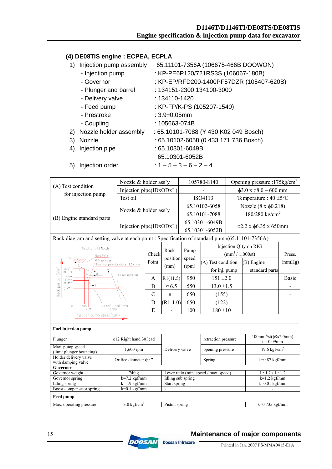#### **(4) DE08TIS engine : ECPEA, ECPLA**

- 1) Injection pump assembly : 65.11101-7356A (106675-466B DOOWON)
	- Injection pump : KP-PE6P120/721RS3S (106067-180B)
	- Governor : KP-EP/RFD200-1400PF57DZR (105407-620B)
	- Plunger and barrel : 134151-2300,134100-3000
	- Delivery valve : 134110-1420
	- Feed pump : KP-FP/K-PS (105207-1540)
	- Prestroke : 3.9±0.05mm
	- Coupling : 105663-074B
- 2) Nozzle holder assembly : 65.10101-7088 (Y 430 K02 049 Bosch)
- 3) Nozzle : 65.10102-6058 (0 433 171 736 Bosch)
- 4) Injection pipe : 65.10301-6049B
	- 65.10301-6052B
- 5) Injection order :  $1 5 3 6 2 4$

|                                                                            |                                       | Nozzle & holder ass'y   |                                                                                               | 105780-8140                           |                                           |                                  | Opening pressure :175 $\text{kg/cm}^2$             |        |
|----------------------------------------------------------------------------|---------------------------------------|-------------------------|-----------------------------------------------------------------------------------------------|---------------------------------------|-------------------------------------------|----------------------------------|----------------------------------------------------|--------|
| (A) Test condition                                                         |                                       | Injection pipe(IDxODxL) |                                                                                               |                                       |                                           |                                  | $\phi$ 3.0 x $\phi$ 8.0 - 600 mm                   |        |
| for injection pump                                                         | Test oil                              |                         |                                                                                               |                                       | ISO4113                                   |                                  | Temperature : $40 \pm 5^{\circ}$ C                 |        |
|                                                                            |                                       | Nozzle & holder ass'y   |                                                                                               | 65.10102-6058                         |                                           | Nozzle $(8 \times \phi 0.218)$   |                                                    |        |
|                                                                            |                                       |                         |                                                                                               | 65.10101-7088                         |                                           | 180/280 kg/cm <sup>2</sup>       |                                                    |        |
| (B) Engine standard parts                                                  |                                       | Injection pipe(IDxODxL) |                                                                                               | 65.10301-6049B<br>65.10301-6052B      |                                           | $\phi$ 2.2 x $\phi$ 6.35 x 650mm |                                                    |        |
|                                                                            |                                       |                         | Rack diagram and setting valve at each point : Specification of standard pump(65.11101-7356A) |                                       |                                           |                                  |                                                    |        |
| Notch: ≈13 Notch                                                           |                                       |                         |                                                                                               | Pump                                  | Injection Q'ty on RIG                     |                                  |                                                    |        |
| Rock limiter<br>14 이상                                                      |                                       | Check                   | Rack                                                                                          |                                       | $\frac{1}{2}$ (mm <sup>3</sup> / 1,000st) |                                  |                                                    | Press. |
| Main spring set<br>E                                                       | Boost compensator stroke : 1.0 a i mm | Point                   | position                                                                                      | speed                                 | (A) Test condition                        |                                  | (B) Engine                                         | (mmHg) |
| Rack position(mm)<br>$12.6^{m}$<br>$R_1(11.5)$                             |                                       |                         | (mm)                                                                                          | (rpm)                                 | for inj. pump                             |                                  | standard parts                                     |        |
| D<br>$10.5^{10.1}$<br>$9.0^{10.1}$                                         | Idle sub spring set                   | A                       | R1(11.5)                                                                                      | 950                                   | $151 \pm 2.0$                             |                                  |                                                    | Basic  |
| $8.4^{m}$<br>$\bullet$ B<br>$7.4^{+0.1}$                                   |                                       | $\overline{B}$          | $\approx 6.5$                                                                                 | 550                                   | $13.0 \pm 1.5$                            |                                  |                                                    |        |
|                                                                            |                                       | $\overline{C}$          | R1                                                                                            | 650                                   | (155)                                     |                                  |                                                    |        |
| $\overline{0}$                                                             |                                       | D                       | $(R1-1.0)$                                                                                    | 650                                   | (122)                                     |                                  |                                                    |        |
| 300<br>450                                                                 | (980) 1030 1050<br>1000               | E                       |                                                                                               | 100                                   | $180 + 10$                                |                                  |                                                    |        |
| Injection pump speed(rpm)                                                  |                                       |                         |                                                                                               |                                       |                                           |                                  |                                                    |        |
| <b>Fuel injection pump</b>                                                 |                                       |                         |                                                                                               |                                       |                                           |                                  |                                                    |        |
| Plunger                                                                    | φ12 Right hand 30 lead                |                         |                                                                                               |                                       | retraction pressure                       |                                  | $100mm^3\text{/st}(\phi 8x2.0mm)$<br>$t = 0.09$ mm |        |
| Max. pump speed<br>(limit plunger bouncing)                                | 1,600 rpm                             |                         |                                                                                               | Delivery valve                        | opening pressure                          |                                  | 19.6 $kgf/cm2$                                     |        |
| Holder delivery valve<br>Orifice diameter $\phi$ 0.7<br>with damping valve |                                       |                         |                                                                                               |                                       | Spring                                    |                                  | $k=0.87$ kgf/mm                                    |        |
| Governor                                                                   |                                       |                         |                                                                                               |                                       |                                           |                                  |                                                    |        |
| Governor weight<br>740 g                                                   |                                       |                         |                                                                                               | Lever ratio (min. speed / max. speed) |                                           | 1:1.2/1:1.2                      |                                                    |        |
| $k=7.2$ kgf/mm<br>Governor spring                                          |                                       | Idling sub spring       |                                                                                               |                                       |                                           | $k=1.2$ kgf/mm                   |                                                    |        |
| <b>Idling</b> spring<br>$k=1.9$ kgf/mm                                     |                                       |                         | Start spring                                                                                  |                                       |                                           | $k=0.01$ kgf/mm                  |                                                    |        |
| $k=0.1$ kgf/mm<br>Boost compensator spring                                 |                                       |                         |                                                                                               |                                       |                                           |                                  |                                                    |        |
| <b>Feed pump</b>                                                           |                                       |                         |                                                                                               |                                       |                                           |                                  |                                                    |        |
| Max. operating pressure                                                    | $3.0 \text{ kgf/cm}^2$                |                         | Piston spring                                                                                 |                                       |                                           |                                  | $k=0.735$ kgf/mm                                   |        |